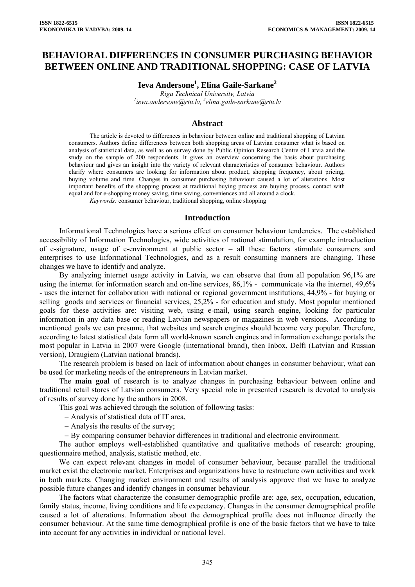# **BEHAVIORAL DIFFERENCES IN CONSUMER PURCHASING BEHAVIOR BETWEEN ONLINE AND TRADITIONAL SHOPPING: CASE OF LATVIA**

**Ieva Andersone<sup>1</sup> , Elina Gaile-Sarkane<sup>2</sup>**

*Riga Technical University, Latvia 1 ieva.andersone@rtu.lv, 2 elina.gaile-sarkane@rtu.lv* 

### **Abstract**

The article is devoted to differences in behaviour between online and traditional shopping of Latvian consumers. Authors define differences between both shopping areas of Latvian consumer what is based on analysis of statistical data, as well as on survey done by Public Opinion Research Centre of Latvia and the study on the sample of 200 respondents. It gives an overview concerning the basis about purchasing behaviour and gives an insight into the variety of relevant characteristics of consumer behaviour. Authors clarify where consumers are looking for information about product, shopping frequency, about pricing, buying volume and time. Changes in consumer purchasing behaviour caused a lot of alterations. Most important benefits of the shopping process at traditional buying process are buying process, contact with equal and for e-shopping money saving, time saving, conveniences and all around a clock.

*Keywords:* consumer behaviour, traditional shopping, online shopping

#### **Introduction**

Informational Technologies have a serious effect on consumer behaviour tendencies. The established accessibility of Information Technologies, wide activities of national stimulation, for example introduction of e-signature, usage of e-environment at public sector – all these factors stimulate consumers and enterprises to use Informational Technologies, and as a result consuming manners are changing. These changes we have to identify and analyze.

By analyzing internet usage activity in Latvia, we can observe that from all population 96,1% are using the internet for information search and on-line services, 86,1% - communicate via the internet, 49,6% - uses the internet for collaboration with national or regional government institutions, 44,9% - for buying or selling goods and services or financial services, 25,2% - for education and study. Most popular mentioned goals for these activities are: visiting web, using e-mail, using search engine, looking for particular information in any data base or reading Latvian newspapers or magazines in web versions. According to mentioned goals we can presume, that websites and search engines should become very popular. Therefore, according to latest statistical data form all world-known search engines and information exchange portals the most popular in Latvia in 2007 were Google (international brand), then Inbox, Delfi (Latvian and Russian version), Draugiem (Latvian national brands).

The research problem is based on lack of information about changes in consumer behaviour, what can be used for marketing needs of the entrepreneurs in Latvian market.

The **main goal** of research is to analyze changes in purchasing behaviour between online and traditional retail stores of Latvian consumers. Very special role in presented research is devoted to analysis of results of survey done by the authors in 2008.

This goal was achieved through the solution of following tasks:

− Analysis of statistical data of IT area,

− Analysis the results of the survey;

− By comparing consumer behavior differences in traditional and electronic environment.

The author employs well-established quantitative and qualitative methods of research: grouping, questionnaire method, analysis, statistic method, etc.

We can expect relevant changes in model of consumer behaviour, because parallel the traditional market exist the electronic market. Enterprises and organizations have to restructure own activities and work in both markets. Changing market environment and results of analysis approve that we have to analyze possible future changes and identify changes in consumer behaviour.

The factors what characterize the consumer demographic profile are: age, sex, occupation, education, family status, income, living conditions and life expectancy. Changes in the consumer demographical profile caused a lot of alterations. Information about the demographical profile does not influence directly the consumer behaviour. At the same time demographical profile is one of the basic factors that we have to take into account for any activities in individual or national level.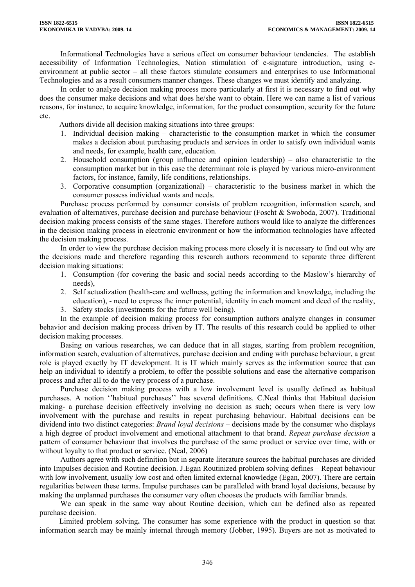Informational Technologies have a serious effect on consumer behaviour tendencies. The establish accessibility of Information Technologies, Nation stimulation of e-signature introduction, using eenvironment at public sector – all these factors stimulate consumers and enterprises to use Informational Technologies and as a result consumers manner changes. These changes we must identify and analyzing.

In order to analyze decision making process more particularly at first it is necessary to find out why does the consumer make decisions and what does he/she want to obtain. Here we can name a list of various reasons, for instance, to acquire knowledge, information, for the product consumption, security for the future etc.

Authors divide all decision making situations into three groups:

- 1. Individual decision making characteristic to the consumption market in which the consumer makes a decision about purchasing products and services in order to satisfy own individual wants and needs, for example, health care, education.
- 2. Household consumption (group influence and opinion leadership) also characteristic to the consumption market but in this case the determinant role is played by various micro-environment factors, for instance, family, life conditions, relationships.
- 3. Corporative consumption (organizational) characteristic to the business market in which the consumer possess individual wants and needs.

Purchase process performed by consumer consists of problem recognition, information search, and evaluation of alternatives, purchase decision and purchase behaviour (Foscht & Swoboda, 2007). Traditional decision making process consists of the same stages. Therefore authors would like to analyze the differences in the decision making process in electronic environment or how the information technologies have affected the decision making process.

In order to view the purchase decision making process more closely it is necessary to find out why are the decisions made and therefore regarding this research authors recommend to separate three different decision making situations:

- 1. Consumption (for covering the basic and social needs according to the Maslow's hierarchy of needs),
- 2. Self actualization (health-care and wellness, getting the information and knowledge, including the education), *-* need to express the inner potential, identity in each moment and deed of the reality,
- 3. Safety stocks (investments for the future well being).

In the example of decision making process for consumption authors analyze changes in consumer behavior and decision making process driven by IT. The results of this research could be applied to other decision making processes.

Basing on various researches, we can deduce that in all stages, starting from problem recognition, information search, evaluation of alternatives, purchase decision and ending with purchase behaviour, a great role is played exactly by IT development. It is IT which mainly serves as the information source that can help an individual to identify a problem, to offer the possible solutions and ease the alternative comparison process and after all to do the very process of a purchase.

Purchase decision making process with a low involvement level is usually defined as habitual purchases. A notion ''habitual purchases'' has several definitions. C.Neal thinks that Habitual decision making- a purchase decision effectively involving no decision as such; occurs when there is very low involvement with the purchase and results in repeat purchasing behaviour. Habitual decisions can be dividend into two distinct categories: *Brand loyal decisions* – decisions made by the consumer who displays a high degree of product involvement and emotional attachment to that brand. *Repeat purchase decision* a pattern of consumer behaviour that involves the purchase of the same product or service over time, with or without loyalty to that product or service. (Neal, 2006)

Authors agree with such definition but in separate literature sources the habitual purchases are divided into Impulses decision and Routine decision. J.Egan Routinized problem solving defines – Repeat behaviour with low involvement, usually low cost and often limited external knowledge (Egan, 2007). There are certain regularities between these terms. Impulse purchases can be paralleled with brand loyal decisions, because by making the unplanned purchases the consumer very often chooses the products with familiar brands.

We can speak in the same way about Routine decision, which can be defined also as repeated purchase decision.

Limited problem solving**.** The consumer has some experience with the product in question so that information search may be mainly internal through memory (Jobber, 1995). Buyers are not as motivated to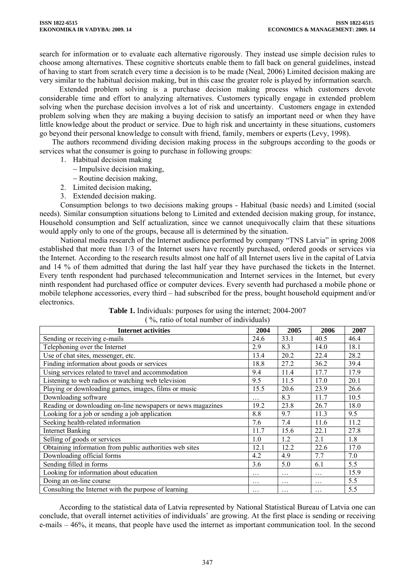search for information or to evaluate each alternative rigorously. They instead use simple decision rules to choose among alternatives. These cognitive shortcuts enable them to fall back on general guidelines, instead of having to start from scratch every time a decision is to be made (Neal, 2006) Limited decision making are very similar to the habitual decision making, but in this case the greater role is played by information search.

Extended problem solving is a purchase decision making process which customers devote considerable time and effort to analyzing alternatives. Customers typically engage in extended problem solving when the purchase decision involves a lot of risk and uncertainty. Customers engage in extended problem solving when they are making a buying decision to satisfy an important need or when they have little knowledge about the product or service. Due to high risk and uncertainty in these situations, customers go beyond their personal knowledge to consult with friend, family, members or experts (Levy, 1998).

The authors recommend dividing decision making process in the subgroups according to the goods or services what the consumer is going to purchase in following groups:

- 1. Habitual decision making
	- − Impulsive decision making,
	- − Routine decision making,
- 2. Limited decision making,
- 3. Extended decision making.

Consumption belongs to two decisions making groups - Habitual (basic needs) and Limited (social needs). Similar consumption situations belong to Limited and extended decision making group, for instance, Household consumption and Self actualization, since we cannot unequivocally claim that these situations would apply only to one of the groups, because all is determined by the situation.

National media research of the Internet audience performed by company "TNS Latvia" in spring 2008 established that more than 1/3 of the Internet users have recently purchased, ordered goods or services via the Internet. According to the research results almost one half of all Internet users live in the capital of Latvia and 14 % of them admitted that during the last half year they have purchased the tickets in the Internet. Every tenth respondent had purchased telecommunication and Internet services in the Internet, but every ninth respondent had purchased office or computer devices. Every seventh had purchased a mobile phone or mobile telephone accessories, every third – had subscribed for the press, bought household equipment and/or electronics.

| <b>Internet activities</b>                                  | 2004     | 2005     | 2006     | 2007 |
|-------------------------------------------------------------|----------|----------|----------|------|
| Sending or receiving e-mails                                | 24.6     | 33.1     | 40.5     | 46.4 |
| Telephoning over the Internet                               | 2.9      | 8.3      | 14.0     | 18.1 |
| Use of chat sites, messenger, etc.                          | 13.4     | 20.2     | 22.4     | 28.2 |
| Finding information about goods or services                 | 18.8     | 27.2     | 36.2     | 39.4 |
| Using services related to travel and accommodation          | 9.4      | 11.4     | 17.7     | 17.9 |
| Listening to web radios or watching web television          | 9.5      | 11.5     | 17.0     | 20.1 |
| Playing or downloading games, images, films or music        | 15.5     | 20.6     | 23.9     | 26.6 |
| Downloading software                                        | .        | 8.3      | 11.7     | 10.5 |
| Reading or downloading on-line newspapers or news magazines | 19.2     | 23.8     | 26.7     | 18.0 |
| Looking for a job or sending a job application              | 8.8      | 9.7      | 11.3     | 9.5  |
| Seeking health-related information                          | 7.6      | 7.4      | 11.6     | 11.2 |
| <b>Internet Banking</b>                                     | 11.7     | 15.6     | 22.1     | 27.8 |
| Selling of goods or services                                | 1.0      | 1.2      | 2.1      | 1.8  |
| Obtaining information from public authorities web sites     | 12.1     | 12.2     | 22.6     | 17.0 |
| Downloading official forms                                  | 4.2      | 4.9      | 7.7      | 7.0  |
| Sending filled in forms                                     | 3.6      | 5.0      | 6.1      | 5.5  |
| Looking for information about education                     | .        | $\cdots$ | $\cdots$ | 15.9 |
| Doing an on-line course                                     | $\cdots$ | .        | .        | 5.5  |
| Consulting the Internet with the purpose of learning        | $\cdots$ | .        | .        | 5.5  |

| <b>Table 1.</b> Individuals: purposes for using the internet; 2004-2007 |  |
|-------------------------------------------------------------------------|--|
| $\frac{6}{2}$ , ratio of total number of individuals)                   |  |

According to the statistical data of Latvia represented by National Statistical Bureau of Latvia one can conclude, that overall internet activities of individuals' are growing. At the first place is sending or receiving e-mails – 46%, it means, that people have used the internet as important communication tool. In the second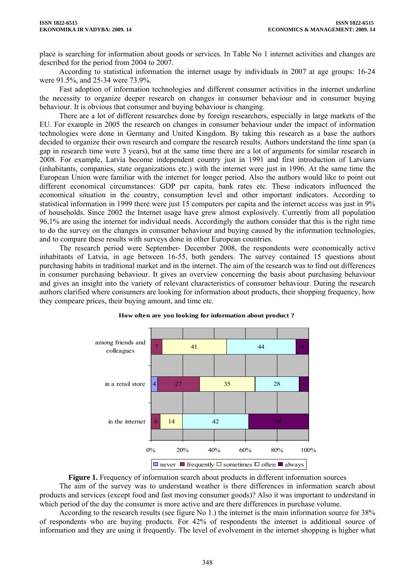place is searching for information about goods or services. In Table No 1 internet activities and changes are described for the period from 2004 to 2007.

According to statistical information the internet usage by individuals in 2007 at age groups: 16-24 were 91.5%, and 25-34 were 73.9%.

Fast adoption of information technologies and different consumer activities in the internet underline the necessity to organize deeper research on changes in consumer behaviour and in consumer buying behaviour. It is obvious that consumer and buying behaviour is changing.

There are a lot of different researches done by foreign researchers, especially in large markets of the EU. For example in 2005 the research on changes in consumer behaviour under the impact of information technologies were done in Germany and United Kingdom. By taking this research as a base the authors decided to organize their own research and compare the research results. Authors understand the time span (a gap in research time were 3 years), but at the same time there are a lot of arguments for similar research in 2008. For example, Latvia become independent country just in 1991 and first introduction of Latvians (inhabitants, companies, state organizations etc.) with the internet were just in 1996. At the same time the European Union were familiar with the internet for longer period. Also the authors would like to point out different economical circumstances: GDP per capita, bank rates etc. These indicators influenced the economical situation in the country, consumption level and other important indicators. According to statistical information in 1999 there were just 15 computers per capita and the internet access was just in 9% of households. Since 2002 the Internet usage have grew almost explosively. Currently from all population 96,1% are using the internet for individual needs. Accordingly the authors consider that this is the right time to do the survey on the changes in consumer behaviour and buying caused by the information technologies, and to compare these results with surveys done in other European countries.

The research period were September- December 2008, the respondents were economically active inhabitants of Latvia, in age between 16-55, both genders. The survey contained 15 questions about purchasing habits in traditional market and in the internet. The aim of the research was to find out differences in consumer purchasing behaviour. It gives an overview concerning the basis about purchasing behaviour and gives an insight into the variety of relevant characteristics of consumer behaviour. During the research authors clarified where consumers are looking for information about products, their shopping frequency, how they compeare prices, their buying amount, and time etc.



#### **How often are you looking for information about product ?**

**Figure 1.** Frequency of information search about products in different information sources The aim of the survey was to understand weather is there differences in information search about products and services (except food and fast moving consumer goods)? Also it was important to understand in which period of the day the consumer is more active and are there differences in purchase volume.

According to the research results (see figure No 1.) the internet is the main information source for 38% of respondents who are buying products. For 42% of respondents the internet is additional source of information and they are using it frequently. The level of evolvement in the internet shopping is higher what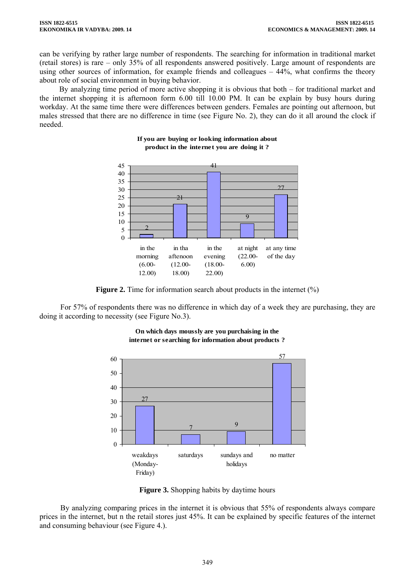can be verifying by rather large number of respondents. The searching for information in traditional market (retail stores) is rare – only 35% of all respondents answered positively. Large amount of respondents are using other sources of information, for example friends and colleagues – 44%, what confirms the theory about role of social environment in buying behavior.

By analyzing time period of more active shopping it is obvious that both – for traditional market and the internet shopping it is afternoon form 6.00 till 10.00 PM. It can be explain by busy hours during workday. At the same time there were differences between genders. Females are pointing out afternoon, but males stressed that there are no difference in time (see Figure No. 2), they can do it all around the clock if needed.



#### **If you are buying or looking information about product in the internet you are doing it ?**

**Figure 2.** Time for information search about products in the internet (%)

For 57% of respondents there was no difference in which day of a week they are purchasing, they are doing it according to necessity (see Figure No.3).



**On which days moussly are you purchaising in the internet or searching for information about products ?**

**Figure 3.** Shopping habits by daytime hours

By analyzing comparing prices in the internet it is obvious that 55% of respondents always compare prices in the internet, but n the retail stores just 45%. It can be explained by specific features of the internet and consuming behaviour (see Figure 4.).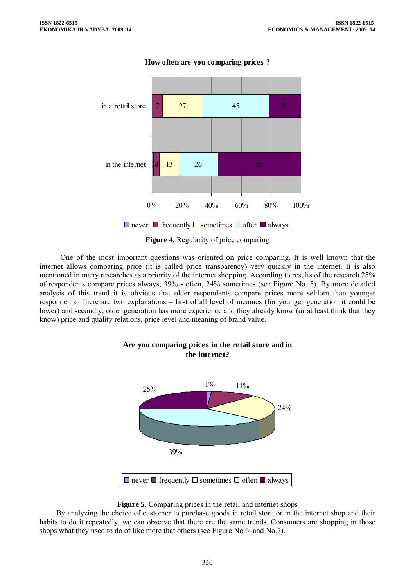

**How often are you comparing prices ?** 

**Figure 4.** Regularity of price comparing

One of the most important questions was oriented on price comparing. It is well known that the internet allows comparing price (it is called price transparency) very quickly in the internet. It is also mentioned in many researches as a priority of the internet shopping. According to results of the research 25% of respondents compare prices always, 39% - often, 24% sometimes (see Figure No. 5). By more detailed analysis of this trend it is obvious that older respondents compare prices more seldom than younger respondents. There are two explanations – first of all level of incomes (for younger generation it could be lower) and secondly, older generation has more experience and they already know (or at least think that they know) price and quality relations, price level and meaning of brand value.



# **Are you comparing prices in the retail store and in the internet?**

### **Figure 5.** Comparing prices in the retail and internet shops

By analyzing the choice of customer to purchase goods in retail store or in the internet shop and their habits to do it repeatedly, we can observe that there are the same trends. Consumers are shopping in those shops what they used to do of like more that others (see Figure No.6. and No.7).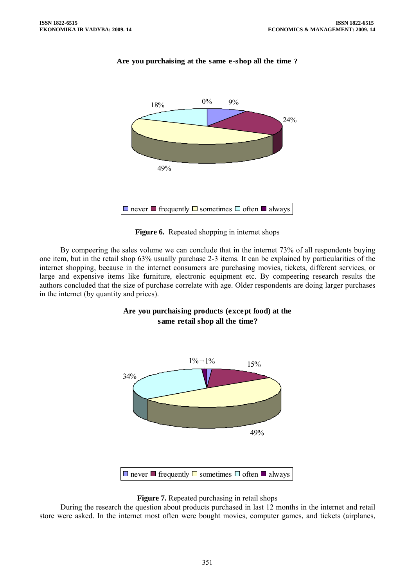

# **Are you purchaising at the same e-shop all the time ?**

**Figure 6.** Repeated shopping in internet shops

By compeering the sales volume we can conclude that in the internet 73% of all respondents buying one item, but in the retail shop 63% usually purchase 2-3 items. It can be explained by particularities of the internet shopping, because in the internet consumers are purchasing movies, tickets, different services, or large and expensive items like furniture, electronic equipment etc. By compeering research results the authors concluded that the size of purchase correlate with age. Older respondents are doing larger purchases in the internet (by quantity and prices).

# **Are you purchaising products (except food) at the same retail shop all the time?**





During the research the question about products purchased in last 12 months in the internet and retail store were asked. In the internet most often were bought movies, computer games, and tickets (airplanes,